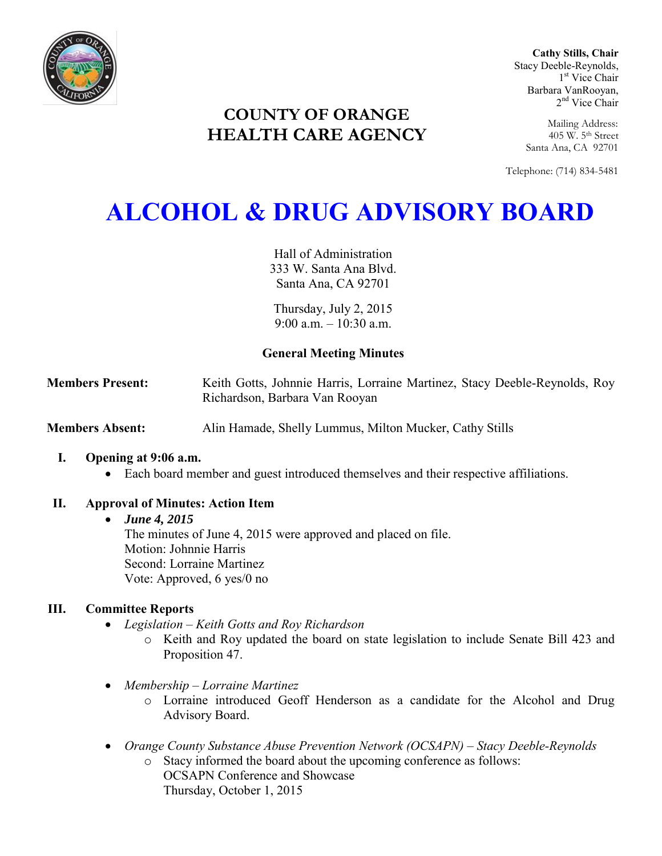

**Cathy Stills, Chair** Stacy Deeble-Reynolds, 1 st Vice Chair Barbara VanRooyan, 2<sup>nd</sup> Vice Chair

**COUNTY OF ORANGE HEALTH CARE AGENCY**

Mailing Address: 405 W. 5th Street Santa Ana, CA 92701

Telephone: (714) 834-5481

# **ALCOHOL & DRUG ADVISORY BOARD**

Hall of Administration 333 W. Santa Ana Blvd. Santa Ana, CA 92701

Thursday, July 2, 2015  $9.00$  a.m.  $-10.30$  a.m.

# **General Meeting Minutes**

**Members Present:** Keith Gotts, Johnnie Harris, Lorraine Martinez, Stacy Deeble-Reynolds, Roy Richardson, Barbara Van Rooyan

**Members Absent:** Alin Hamade, Shelly Lummus, Milton Mucker, Cathy Stills

# **I. Opening at 9:06 a.m.**

Each board member and guest introduced themselves and their respective affiliations.

# **II. Approval of Minutes: Action Item**

# *June 4, 2015*

The minutes of June 4, 2015 were approved and placed on file. Motion: Johnnie Harris Second: Lorraine Martinez Vote: Approved, 6 yes/0 no

# **III. Committee Reports**

- *Legislation – Keith Gotts and Roy Richardson* 
	- o Keith and Roy updated the board on state legislation to include Senate Bill 423 and Proposition 47.
- *Membership – Lorraine Martinez* 
	- o Lorraine introduced Geoff Henderson as a candidate for the Alcohol and Drug Advisory Board.
- *Orange County Substance Abuse Prevention Network (OCSAPN) Stacy Deeble-Reynolds* 
	- o Stacy informed the board about the upcoming conference as follows: OCSAPN Conference and Showcase Thursday, October 1, 2015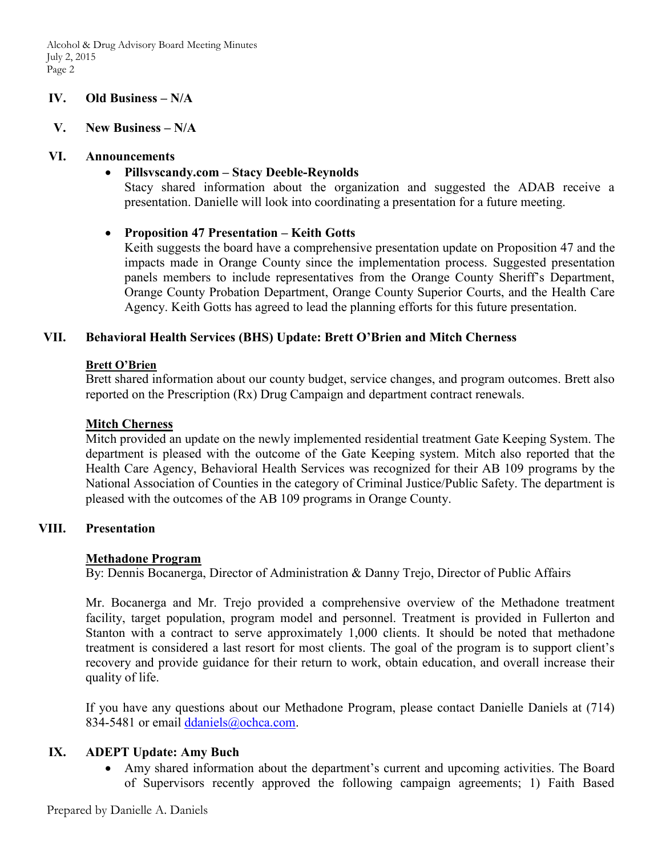# **IV. Old Business – N/A**

#### **V. New Business – N/A**

#### **VI. Announcements**

#### **Pillsvscandy.com – Stacy Deeble-Reynolds**

Stacy shared information about the organization and suggested the ADAB receive a presentation. Danielle will look into coordinating a presentation for a future meeting.

# **Proposition 47 Presentation – Keith Gotts**

Keith suggests the board have a comprehensive presentation update on Proposition 47 and the impacts made in Orange County since the implementation process. Suggested presentation panels members to include representatives from the Orange County Sheriff's Department, Orange County Probation Department, Orange County Superior Courts, and the Health Care Agency. Keith Gotts has agreed to lead the planning efforts for this future presentation.

# **VII. Behavioral Health Services (BHS) Update: Brett O'Brien and Mitch Cherness**

#### **Brett O'Brien**

Brett shared information about our county budget, service changes, and program outcomes. Brett also reported on the Prescription (Rx) Drug Campaign and department contract renewals.

#### **Mitch Cherness**

Mitch provided an update on the newly implemented residential treatment Gate Keeping System. The department is pleased with the outcome of the Gate Keeping system. Mitch also reported that the Health Care Agency, Behavioral Health Services was recognized for their AB 109 programs by the National Association of Counties in the category of Criminal Justice/Public Safety. The department is pleased with the outcomes of the AB 109 programs in Orange County.

#### **VIII. Presentation**

#### **Methadone Program**

By: Dennis Bocanerga, Director of Administration & Danny Trejo, Director of Public Affairs

Mr. Bocanerga and Mr. Trejo provided a comprehensive overview of the Methadone treatment facility, target population, program model and personnel. Treatment is provided in Fullerton and Stanton with a contract to serve approximately 1,000 clients. It should be noted that methadone treatment is considered a last resort for most clients. The goal of the program is to support client's recovery and provide guidance for their return to work, obtain education, and overall increase their quality of life.

If you have any questions about our Methadone Program, please contact Danielle Daniels at (714) 834-5481 or email [ddaniels@ochca.com.](mailto:ddaniels@ochca.com)

# **IX. ADEPT Update: Amy Buch**

 Amy shared information about the department's current and upcoming activities. The Board of Supervisors recently approved the following campaign agreements; 1) Faith Based